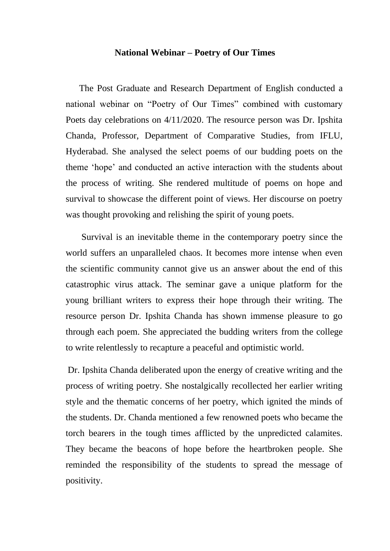## **National Webinar – Poetry of Our Times**

 The Post Graduate and Research Department of English conducted a national webinar on "Poetry of Our Times" combined with customary Poets day celebrations on 4/11/2020. The resource person was Dr. Ipshita Chanda, Professor, Department of Comparative Studies, from IFLU, Hyderabad. She analysed the select poems of our budding poets on the theme 'hope' and conducted an active interaction with the students about the process of writing. She rendered multitude of poems on hope and survival to showcase the different point of views. Her discourse on poetry was thought provoking and relishing the spirit of young poets.

 Survival is an inevitable theme in the contemporary poetry since the world suffers an unparalleled chaos. It becomes more intense when even the scientific community cannot give us an answer about the end of this catastrophic virus attack. The seminar gave a unique platform for the young brilliant writers to express their hope through their writing. The resource person Dr. Ipshita Chanda has shown immense pleasure to go through each poem. She appreciated the budding writers from the college to write relentlessly to recapture a peaceful and optimistic world.

 Dr. Ipshita Chanda deliberated upon the energy of creative writing and the process of writing poetry. She nostalgically recollected her earlier writing style and the thematic concerns of her poetry, which ignited the minds of the students. Dr. Chanda mentioned a few renowned poets who became the torch bearers in the tough times afflicted by the unpredicted calamites. They became the beacons of hope before the heartbroken people. She reminded the responsibility of the students to spread the message of positivity.